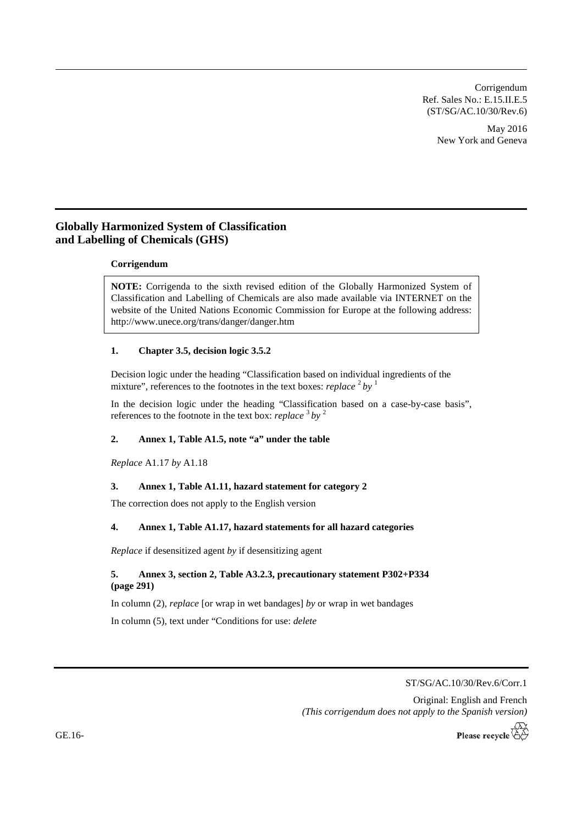Corrigendum Ref. Sales No.: E.15.II.E.5 (ST/SG/AC.10/30/Rev.6)

> May 2016 New York and Geneva

# **Globally Harmonized System of Classification and Labelling of Chemicals (GHS)**

### **Corrigendum**

**NOTE:** Corrigenda to the sixth revised edition of the Globally Harmonized System of Classification and Labelling of Chemicals are also made available via INTERNET on the website of the United Nations Economic Commission for Europe at the following address: <http://www.unece.org/trans/danger/danger.htm>

### **1. Chapter 3.5, decision logic 3.5.2**

Decision logic under the heading "Classification based on individual ingredients of the mixture", references to the footnotes in the text boxes: *replace*  $2^2$  by <sup>1</sup>

In the decision logic under the heading "Classification based on a case-by-case basis", references to the footnote in the text box: *replace* <sup>3</sup> *by* <sup>2</sup>

# **2. Annex 1, Table A1.5, note "a" under the table**

*Replace* A1.17 *by* A1.18

#### **3. Annex 1, Table A1.11, hazard statement for category 2**

The correction does not apply to the English version

#### **4. Annex 1, Table A1.17, hazard statements for all hazard categories**

*Replace* if desensitized agent *by* if desensitizing agent

# **5. Annex 3, section 2, Table A3.2.3, precautionary statement P302+P334 (page 291)**

In column (2), *replace* [or wrap in wet bandages] *by* or wrap in wet bandages

In column (5), text under "Conditions for use: *delete*

ST/SG/AC.10/30/Rev.6/Corr.1

Original: English and French *(This corrigendum does not apply to the Spanish version)*

Please recycle